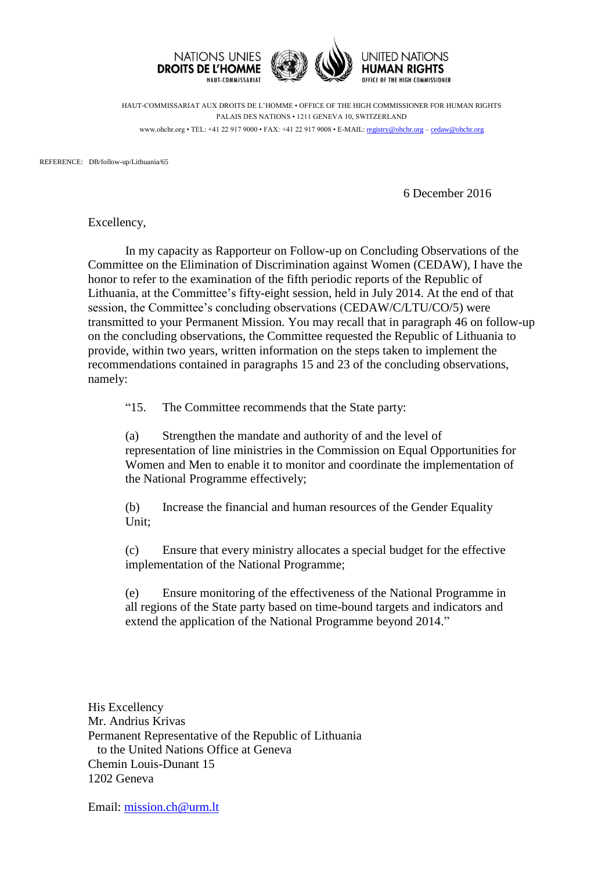

HAUT-COMMISSARIAT AUX DROITS DE L'HOMME • OFFICE OF THE HIGH COMMISSIONER FOR HUMAN RIGHTS PALAIS DES NATIONS • 1211 GENEVA 10, SWITZERLAND www.ohchr.org • TEL: +41 22 917 9000 • FAX: +41 22 917 9008 • E-MAIL: [registry@ohchr.org](mailto:registry@ohchr.org) – [cedaw@ohchr.org](mailto:cedaw@ohchr.org)

REFERENCE: DB/follow-up/Lithuania/65

6 December 2016

Excellency,

In my capacity as Rapporteur on Follow-up on Concluding Observations of the Committee on the Elimination of Discrimination against Women (CEDAW), I have the honor to refer to the examination of the fifth periodic reports of the Republic of Lithuania, at the Committee's fifty-eight session, held in July 2014. At the end of that session, the Committee's concluding observations (CEDAW/C/LTU/CO/5) were transmitted to your Permanent Mission. You may recall that in paragraph 46 on follow-up on the concluding observations, the Committee requested the Republic of Lithuania to provide, within two years, written information on the steps taken to implement the recommendations contained in paragraphs 15 and 23 of the concluding observations, namely:

"15. The Committee recommends that the State party:

(a) Strengthen the mandate and authority of and the level of representation of line ministries in the Commission on Equal Opportunities for Women and Men to enable it to monitor and coordinate the implementation of the National Programme effectively;

(b) Increase the financial and human resources of the Gender Equality Unit;

(c) Ensure that every ministry allocates a special budget for the effective implementation of the National Programme;

(e) Ensure monitoring of the effectiveness of the National Programme in all regions of the State party based on time-bound targets and indicators and extend the application of the National Programme beyond 2014."

His Excellency Mr. Andrius Krivas Permanent Representative of the Republic of Lithuania to the United Nations Office at Geneva Chemin Louis-Dunant 15 1202 Geneva

Email: [mission.ch@urm.lt](mailto:mission.ch@urm.lt)